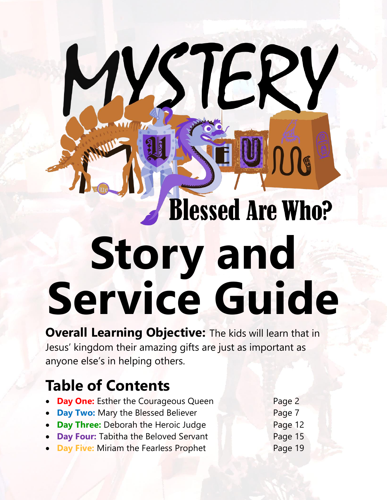# **Blessed Are Who? Story and Service Guide**

STERY

**Overall Learning Objective:** The kids will learn that in Jesus' kingdom their amazing gifts are just as important as anyone else's in helping others.

# **Table of Contents**

- **Day One:** Esther the Courageous Queen Page 2
- **Day Two:** Mary the Blessed Believer **Page 7**
- **Day Three:** Deborah the Heroic Judge Page 12
- **Day Four:** Tabitha the Beloved Servant Page 15
- **Day Five:** Miriam the Fearless Prophet Page 19
- 

n No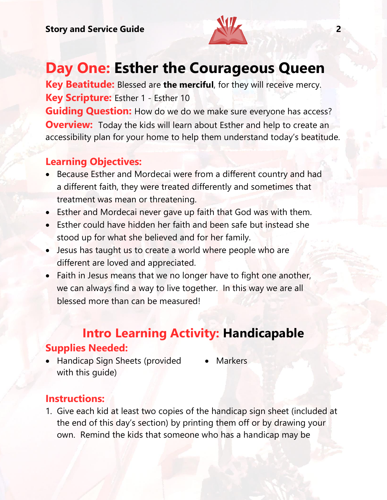

# **Day One: Esther the Courageous Queen**

**Key Beatitude:** Blessed are **the merciful**, for they will receive mercy. **Key Scripture:** Esther 1 - Esther 10

**Guiding Question:** How do we do we make sure everyone has access? **Overview:** Today the kids will learn about Esther and help to create an accessibility plan for your home to help them understand today's beatitude.

## **Learning Objectives:**

- Because Esther and Mordecai were from a different country and had a different faith, they were treated differently and sometimes that treatment was mean or threatening.
- Esther and Mordecai never gave up faith that God was with them.
- Esther could have hidden her faith and been safe but instead she stood up for what she believed and for her family.
- Jesus has taught us to create a world where people who are different are loved and appreciated.
- Faith in Jesus means that we no longer have to fight one another, we can always find a way to live together. In this way we are all blessed more than can be measured!

# **Intro Learning Activity: Handicapable**

## **Supplies Needed:**

- Handicap Sign Sheets (provided with this guide)
- Markers

#### **Instructions:**

1. Give each kid at least two copies of the handicap sign sheet (included at the end of this day's section) by printing them off or by drawing your own. Remind the kids that someone who has a handicap may be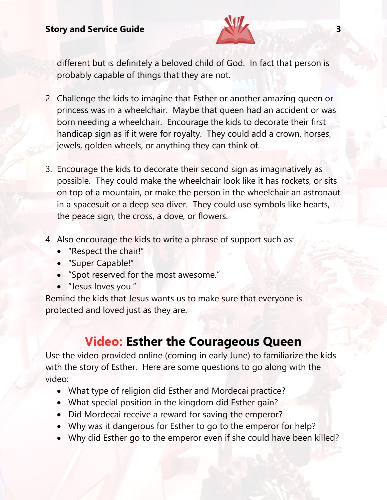

different but is definitely a beloved child of God. In fact that person is probably capable of things that they are not.

- 2. Challenge the kids to imagine that Esther or another amazing queen or princess was in a wheelchair. Maybe that queen had an accident or was born needing a wheelchair. Encourage the kids to decorate their first handicap sign as if it were for royalty. They could add a crown, horses, jewels, golden wheels, or anything they can think of.
- 3. Encourage the kids to decorate their second sign as imaginatively as possible. They could make the wheelchair look like it has rockets, or sits on top of a mountain, or make the person in the wheelchair an astronaut in a spacesuit or a deep sea diver. They could use symbols like hearts, the peace sign, the cross, a dove, or flowers.
- 4. Also encourage the kids to write a phrase of support such as:
	- "Respect the chair!"
	- "Super Capable!"
	- "Spot reserved for the most awesome."
	- "Jesus loves you."

Remind the kids that Jesus wants us to make sure that everyone is protected and loved just as they are.

# **Video: Esther the Courageous Queen**

Use the video provided online (coming in early June) to familiarize the kids with the story of Esther. Here are some questions to go along with the video:

- What type of religion did Esther and Mordecai practice?
- What special position in the kingdom did Esther gain?
- Did Mordecai receive a reward for saving the emperor?
- Why was it dangerous for Esther to go to the emperor for help?
- Why did Esther go to the emperor even if she could have been killed?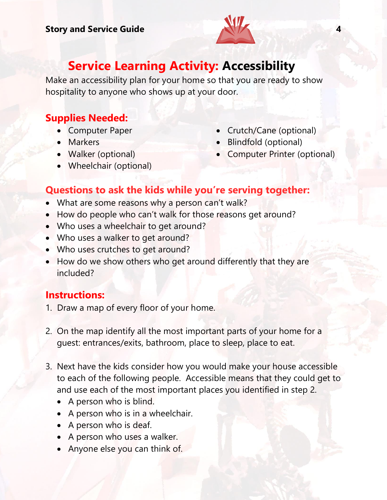

# **Service Learning Activity: Accessibility**

Make an accessibility plan for your home so that you are ready to show hospitality to anyone who shows up at your door.

# **Supplies Needed:**

- Computer Paper
- Markers
- Walker (optional)
- Wheelchair (optional)
- Crutch/Cane (optional)
- Blindfold (optional)
- Computer Printer (optional)

# **Questions to ask the kids while you're serving together:**

- What are some reasons why a person can't walk?
- How do people who can't walk for those reasons get around?
- Who uses a wheelchair to get around?
- Who uses a walker to get around?
- Who uses crutches to get around?
- How do we show others who get around differently that they are included?

### **Instructions:**

- 1. Draw a map of every floor of your home.
- 2. On the map identify all the most important parts of your home for a guest: entrances/exits, bathroom, place to sleep, place to eat.
- 3. Next have the kids consider how you would make your house accessible to each of the following people. Accessible means that they could get to and use each of the most important places you identified in step 2.
	- A person who is blind.
	- A person who is in a wheelchair.
	- A person who is deaf.
	- A person who uses a walker.
	- Anyone else you can think of.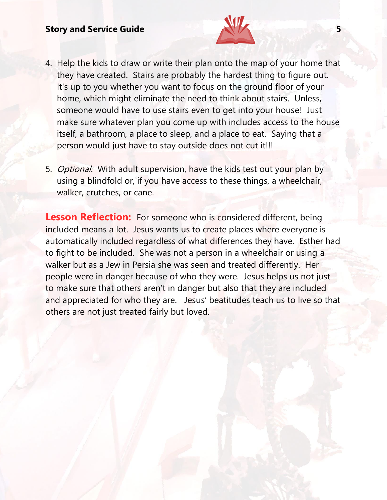

- 4. Help the kids to draw or write their plan onto the map of your home that they have created. Stairs are probably the hardest thing to figure out. It's up to you whether you want to focus on the ground floor of your home, which might eliminate the need to think about stairs. Unless, someone would have to use stairs even to get into your house! Just make sure whatever plan you come up with includes access to the house itself, a bathroom, a place to sleep, and a place to eat. Saying that a person would just have to stay outside does not cut it!!!
- 5. *Optional:* With adult supervision, have the kids test out your plan by using a blindfold or, if you have access to these things, a wheelchair, walker, crutches, or cane.

**Lesson Reflection:** For someone who is considered different, being included means a lot. Jesus wants us to create places where everyone is automatically included regardless of what differences they have. Esther had to fight to be included. She was not a person in a wheelchair or using a walker but as a Jew in Persia she was seen and treated differently. Her people were in danger because of who they were. Jesus helps us not just to make sure that others aren't in danger but also that they are included and appreciated for who they are. Jesus' beatitudes teach us to live so that others are not just treated fairly but loved.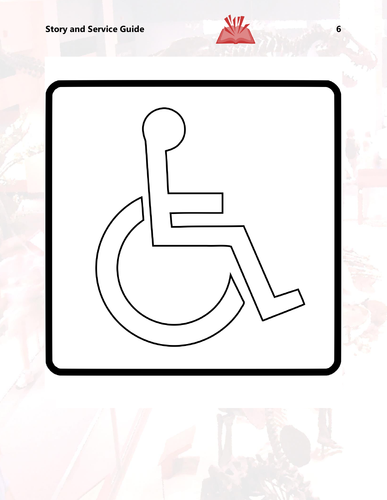# **Story and Service Guide 6**





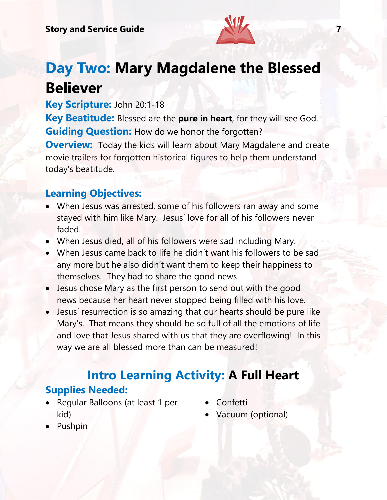# **Day Two: Mary Magdalene the Blessed Believer**

**Key Scripture:** John 20:1-18

**Key Beatitude:** Blessed are the **pure in heart**, for they will see God. **Guiding Question:** How do we honor the forgotten? **Overview:** Today the kids will learn about Mary Magdalene and create movie trailers for forgotten historical figures to help them understand today's beatitude.

# **Learning Objectives:**

- When Jesus was arrested, some of his followers ran away and some stayed with him like Mary. Jesus' love for all of his followers never faded.
- When Jesus died, all of his followers were sad including Mary.
- When Jesus came back to life he didn't want his followers to be sad any more but he also didn't want them to keep their happiness to themselves. They had to share the good news.
- Jesus chose Mary as the first person to send out with the good news because her heart never stopped being filled with his love.
- Jesus' resurrection is so amazing that our hearts should be pure like Mary's. That means they should be so full of all the emotions of life and love that Jesus shared with us that they are overflowing! In this way we are all blessed more than can be measured!

# **Intro Learning Activity: A Full Heart**

# **Supplies Needed:**

- Regular Balloons (at least 1 per kid)
- Confetti
- Vacuum (optional)

Pushpin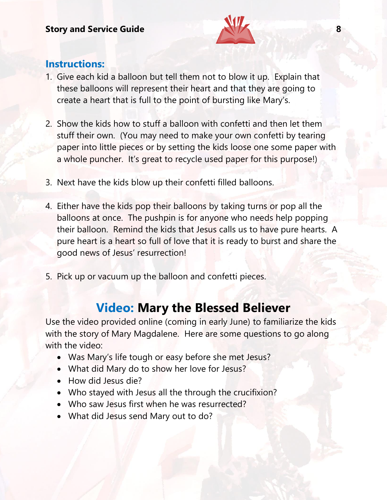

#### **Instructions:**

- 1. Give each kid a balloon but tell them not to blow it up. Explain that these balloons will represent their heart and that they are going to create a heart that is full to the point of bursting like Mary's.
- 2. Show the kids how to stuff a balloon with confetti and then let them stuff their own. (You may need to make your own confetti by tearing paper into little pieces or by setting the kids loose one some paper with a whole puncher. It's great to recycle used paper for this purpose!)
- 3. Next have the kids blow up their confetti filled balloons.
- 4. Either have the kids pop their balloons by taking turns or pop all the balloons at once. The pushpin is for anyone who needs help popping their balloon. Remind the kids that Jesus calls us to have pure hearts. A pure heart is a heart so full of love that it is ready to burst and share the good news of Jesus' resurrection!
- 5. Pick up or vacuum up the balloon and confetti pieces.

# **Video: Mary the Blessed Believer**

Use the video provided online (coming in early June) to familiarize the kids with the story of Mary Magdalene. Here are some questions to go along with the video:

- Was Mary's life tough or easy before she met Jesus?
- What did Mary do to show her love for Jesus?
- How did Jesus die?
- Who stayed with Jesus all the through the crucifixion?
- Who saw Jesus first when he was resurrected?
- What did Jesus send Mary out to do?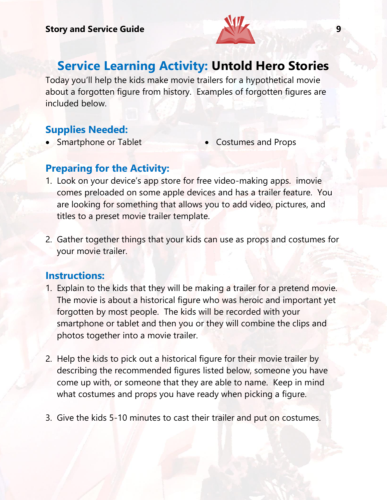

# **Service Learning Activity: Untold Hero Stories**

Today you'll help the kids make movie trailers for a hypothetical movie about a forgotten figure from history. Examples of forgotten figures are included below.

#### **Supplies Needed:**

- Smartphone or Tablet Costumes and Props
	-

#### **Preparing for the Activity:**

- 1. Look on your device's app store for free video-making apps. imovie comes preloaded on some apple devices and has a trailer feature. You are looking for something that allows you to add video, pictures, and titles to a preset movie trailer template.
- 2. Gather together things that your kids can use as props and costumes for your movie trailer.

#### **Instructions:**

- 1. Explain to the kids that they will be making a trailer for a pretend movie. The movie is about a historical figure who was heroic and important yet forgotten by most people. The kids will be recorded with your smartphone or tablet and then you or they will combine the clips and photos together into a movie trailer.
- 2. Help the kids to pick out a historical figure for their movie trailer by describing the recommended figures listed below, someone you have come up with, or someone that they are able to name. Keep in mind what costumes and props you have ready when picking a figure.
- 3. Give the kids 5-10 minutes to cast their trailer and put on costumes.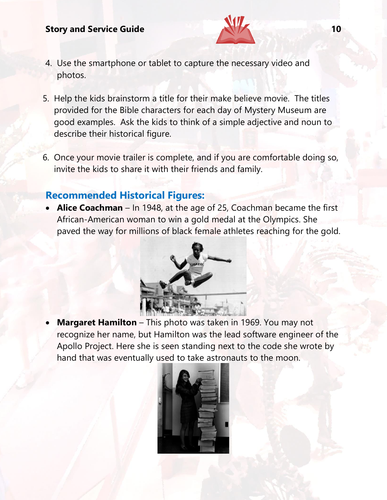

- 4. Use the smartphone or tablet to capture the necessary video and photos.
- 5. Help the kids brainstorm a title for their make believe movie. The titles provided for the Bible characters for each day of Mystery Museum are good examples. Ask the kids to think of a simple adjective and noun to describe their historical figure.
- 6. Once your movie trailer is complete, and if you are comfortable doing so, invite the kids to share it with their friends and family.

## **Recommended Historical Figures:**

 **Alice Coachman** – In 1948, at the age of 25, Coachman became the first African-American woman to win a gold medal at the Olympics. She paved the way for millions of black female athletes reaching for the gold.



 **Margaret Hamilton** – This photo was taken in 1969. You may not recognize her name, but Hamilton was the lead software engineer of the Apollo Project. Here she is seen standing next to the code she wrote by hand that was eventually used to take astronauts to the moon.

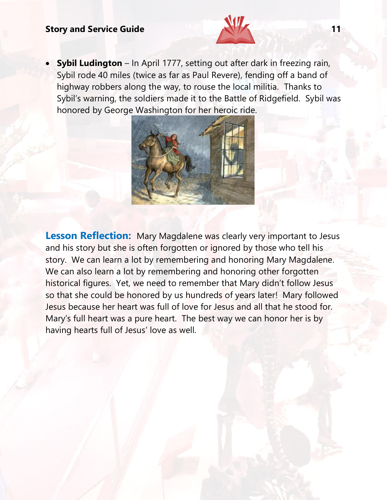

**Sybil Ludington** – In April 1777, setting out after dark in freezing rain, Sybil rode 40 miles (twice as far as Paul Revere), fending off a band of highway robbers along the way, to rouse the local militia. Thanks to Sybil's warning, the soldiers made it to the Battle of Ridgefield. Sybil was honored by George Washington for her heroic ride.



**Lesson Reflection:** Mary Magdalene was clearly very important to Jesus and his story but she is often forgotten or ignored by those who tell his story. We can learn a lot by remembering and honoring Mary Magdalene. We can also learn a lot by remembering and honoring other forgotten historical figures. Yet, we need to remember that Mary didn't follow Jesus so that she could be honored by us hundreds of years later! Mary followed Jesus because her heart was full of love for Jesus and all that he stood for. Mary's full heart was a pure heart. The best way we can honor her is by having hearts full of Jesus' love as well.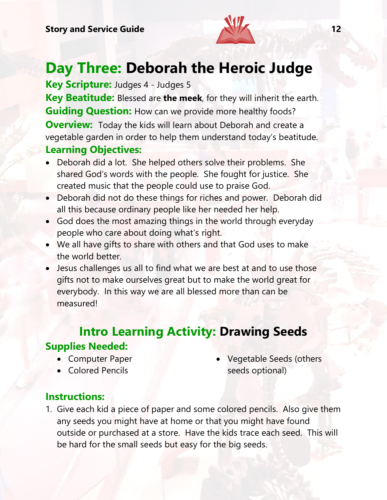

# **Day Three: Deborah the Heroic Judge**

**Key Scripture:** Judges 4 - Judges 5

**Key Beatitude:** Blessed are **the meek**, for they will inherit the earth. **Guiding Question:** How can we provide more healthy foods? **Overview:** Today the kids will learn about Deborah and create a vegetable garden in order to help them understand today's beatitude.

# **Learning Objectives:**

- Deborah did a lot. She helped others solve their problems. She shared God's words with the people. She fought for justice. She created music that the people could use to praise God.
- Deborah did not do these things for riches and power. Deborah did all this because ordinary people like her needed her help.
- God does the most amazing things in the world through everyday people who care about doing what's right.
- We all have gifts to share with others and that God uses to make the world better.
- Jesus challenges us all to find what we are best at and to use those gifts not to make ourselves great but to make the world great for everybody. In this way we are all blessed more than can be measured!

# **Intro Learning Activity: Drawing Seeds**

## **Supplies Needed:**

- Computer Paper
- Colored Pencils

 Vegetable Seeds (others seeds optional)

# **Instructions:**

1. Give each kid a piece of paper and some colored pencils. Also give them any seeds you might have at home or that you might have found outside or purchased at a store. Have the kids trace each seed. This will be hard for the small seeds but easy for the big seeds.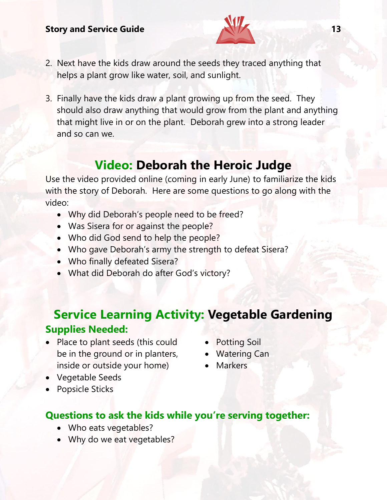

- 2. Next have the kids draw around the seeds they traced anything that helps a plant grow like water, soil, and sunlight.
- 3. Finally have the kids draw a plant growing up from the seed. They should also draw anything that would grow from the plant and anything that might live in or on the plant. Deborah grew into a strong leader and so can we.

# **Video: Deborah the Heroic Judge**

Use the video provided online (coming in early June) to familiarize the kids with the story of Deborah. Here are some questions to go along with the video:

- Why did Deborah's people need to be freed?
- Was Sisera for or against the people?
- Who did God send to help the people?
- Who gave Deborah's army the strength to defeat Sisera?
- Who finally defeated Sisera?
- What did Deborah do after God's victory?

# **Service Learning Activity: Vegetable Gardening Supplies Needed:**

- Place to plant seeds (this could be in the ground or in planters, inside or outside your home)
- **Potting Soil**
- Watering Can
- Markers

- Vegetable Seeds
- Popsicle Sticks

## **Questions to ask the kids while you're serving together:**

- Who eats vegetables?
- Why do we eat vegetables?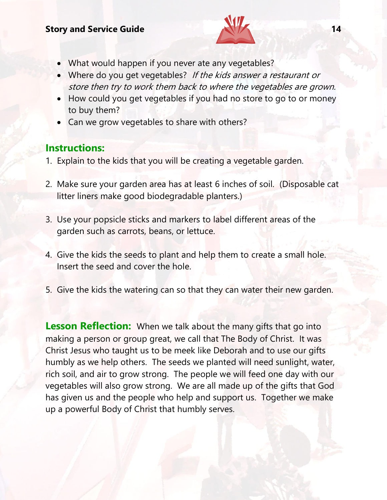#### **Story and Service Guide 14**



- What would happen if you never ate any vegetables?
- Where do you get vegetables? If the kids answer a restaurant or store then try to work them back to where the vegetables are grown.
- How could you get vegetables if you had no store to go to or money to buy them?
- Can we grow vegetables to share with others?

#### **Instructions:**

- 1. Explain to the kids that you will be creating a vegetable garden.
- 2. Make sure your garden area has at least 6 inches of soil. (Disposable cat litter liners make good biodegradable planters.)
- 3. Use your popsicle sticks and markers to label different areas of the garden such as carrots, beans, or lettuce.
- 4. Give the kids the seeds to plant and help them to create a small hole. Insert the seed and cover the hole.
- 5. Give the kids the watering can so that they can water their new garden.

**Lesson Reflection:** When we talk about the many gifts that go into making a person or group great, we call that The Body of Christ. It was Christ Jesus who taught us to be meek like Deborah and to use our gifts humbly as we help others. The seeds we planted will need sunlight, water, rich soil, and air to grow strong. The people we will feed one day with our vegetables will also grow strong. We are all made up of the gifts that God has given us and the people who help and support us. Together we make up a powerful Body of Christ that humbly serves.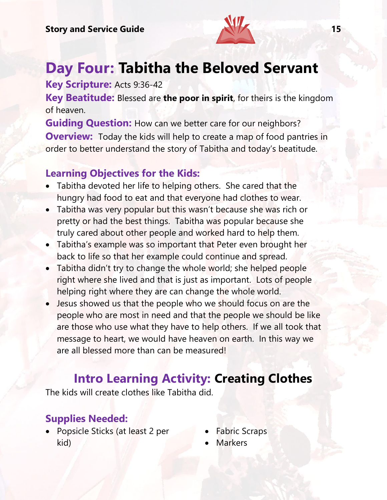

# **Day Four: Tabitha the Beloved Servant**

**Key Scripture:** Acts 9:36-42

**Key Beatitude:** Blessed are **the poor in spirit**, for theirs is the kingdom of heaven.

**Guiding Question:** How can we better care for our neighbors? **Overview:** Today the kids will help to create a map of food pantries in order to better understand the story of Tabitha and today's beatitude.

# **Learning Objectives for the Kids:**

- Tabitha devoted her life to helping others. She cared that the hungry had food to eat and that everyone had clothes to wear.
- Tabitha was very popular but this wasn't because she was rich or pretty or had the best things. Tabitha was popular because she truly cared about other people and worked hard to help them.
- Tabitha's example was so important that Peter even brought her back to life so that her example could continue and spread.
- Tabitha didn't try to change the whole world; she helped people right where she lived and that is just as important. Lots of people helping right where they are can change the whole world.
- Jesus showed us that the people who we should focus on are the people who are most in need and that the people we should be like are those who use what they have to help others. If we all took that message to heart, we would have heaven on earth. In this way we are all blessed more than can be measured!

# **Intro Learning Activity: Creating Clothes**

The kids will create clothes like Tabitha did.

# **Supplies Needed:**

- Popsicle Sticks (at least 2 per kid)
- Fabric Scraps
- Markers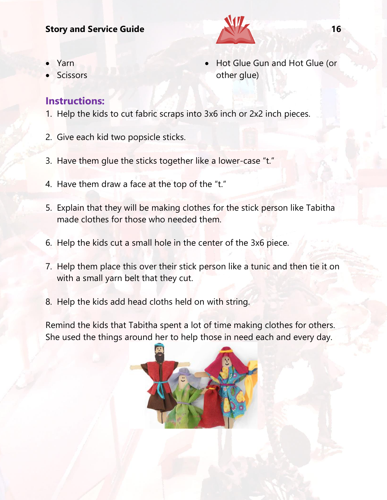#### **Story and Service Guide 16**



- Yarn
- **Scissors**

#### **Instructions:**

- 1. Help the kids to cut fabric scraps into 3x6 inch or 2x2 inch pieces.
- 2. Give each kid two popsicle sticks.
- 3. Have them glue the sticks together like a lower-case "t."
- 4. Have them draw a face at the top of the "t."
- 5. Explain that they will be making clothes for the stick person like Tabitha made clothes for those who needed them.
- 6. Help the kids cut a small hole in the center of the 3x6 piece.
- 7. Help them place this over their stick person like a tunic and then tie it on with a small yarn belt that they cut.
- 8. Help the kids add head cloths held on with string.

Remind the kids that Tabitha spent a lot of time making clothes for others. She used the things around her to help those in need each and every day.



 Hot Glue Gun and Hot Glue (or other glue)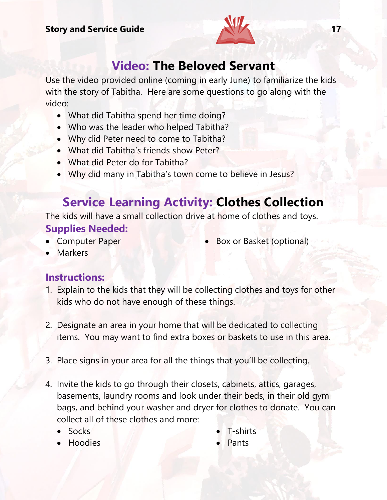

# **Video: The Beloved Servant**

Use the video provided online (coming in early June) to familiarize the kids with the story of Tabitha. Here are some questions to go along with the video:

- What did Tabitha spend her time doing?
- Who was the leader who helped Tabitha?
- Why did Peter need to come to Tabitha?
- What did Tabitha's friends show Peter?
- What did Peter do for Tabitha?
- Why did many in Tabitha's town come to believe in Jesus?

# **Service Learning Activity: Clothes Collection**

The kids will have a small collection drive at home of clothes and toys. **Supplies Needed:**

• Computer Paper

Box or Basket (optional)

• Markers

## **Instructions:**

- 1. Explain to the kids that they will be collecting clothes and toys for other kids who do not have enough of these things.
- 2. Designate an area in your home that will be dedicated to collecting items. You may want to find extra boxes or baskets to use in this area.
- 3. Place signs in your area for all the things that you'll be collecting.
- 4. Invite the kids to go through their closets, cabinets, attics, garages, basements, laundry rooms and look under their beds, in their old gym bags, and behind your washer and dryer for clothes to donate. You can collect all of these clothes and more:
	- Socks

T-shirts

• Hoodies

**Pants**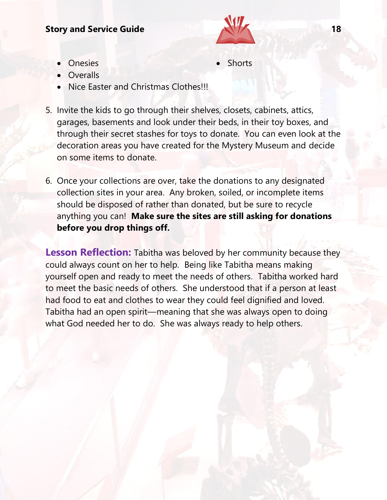#### **Story and Service Guide 18**



Shorts

- **Onesies**
- **Overalls**
- Nice Easter and Christmas Clothes!!!
- 5. Invite the kids to go through their shelves, closets, cabinets, attics, garages, basements and look under their beds, in their toy boxes, and through their secret stashes for toys to donate. You can even look at the decoration areas you have created for the Mystery Museum and decide on some items to donate.
- 6. Once your collections are over, take the donations to any designated collection sites in your area. Any broken, soiled, or incomplete items should be disposed of rather than donated, but be sure to recycle anything you can! **Make sure the sites are still asking for donations before you drop things off.**

**Lesson Reflection:** Tabitha was beloved by her community because they could always count on her to help. Being like Tabitha means making yourself open and ready to meet the needs of others. Tabitha worked hard to meet the basic needs of others. She understood that if a person at least had food to eat and clothes to wear they could feel dignified and loved. Tabitha had an open spirit—meaning that she was always open to doing what God needed her to do. She was always ready to help others.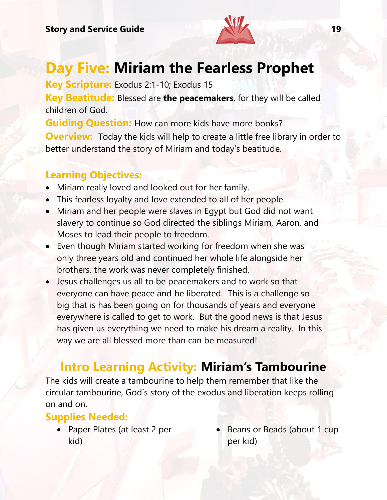

# **Day Five: Miriam the Fearless Prophet**

**Key Scripture:** Exodus 2:1-10; Exodus 15

**Key Beatitude:** Blessed are **the peacemakers**, for they will be called children of God.

**Guiding Question:** How can more kids have more books? **Overview:** Today the kids will help to create a little free library in order to better understand the story of Miriam and today's beatitude.

# **Learning Objectives:**

- Miriam really loved and looked out for her family.
- This fearless loyalty and love extended to all of her people.
- Miriam and her people were slaves in Egypt but God did not want slavery to continue so God directed the siblings Miriam, Aaron, and Moses to lead their people to freedom.
- Even though Miriam started working for freedom when she was only three years old and continued her whole life alongside her brothers, the work was never completely finished.
- Jesus challenges us all to be peacemakers and to work so that everyone can have peace and be liberated. This is a challenge so big that is has been going on for thousands of years and everyone everywhere is called to get to work. But the good news is that Jesus has given us everything we need to make his dream a reality. In this way we are all blessed more than can be measured!

# **Intro Learning Activity: Miriam's Tambourine**

The kids will create a tambourine to help them remember that like the circular tambourine, God's story of the exodus and liberation keeps rolling on and on.

## **Supplies Needed:**

- Paper Plates (at least 2 per kid)
- Beans or Beads (about 1 cup per kid)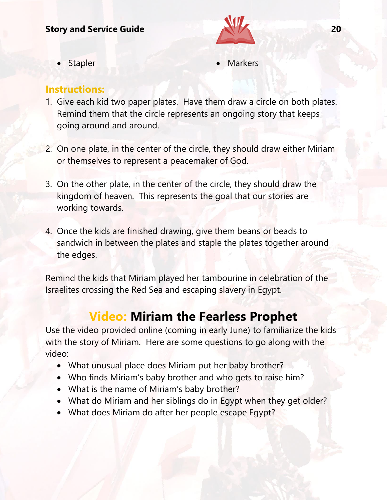#### **Story and Service Guide 20 20**



- Stapler **Markers Markers** 
	-

#### **Instructions:**

- 1. Give each kid two paper plates. Have them draw a circle on both plates. Remind them that the circle represents an ongoing story that keeps going around and around.
- 2. On one plate, in the center of the circle, they should draw either Miriam or themselves to represent a peacemaker of God.
- 3. On the other plate, in the center of the circle, they should draw the kingdom of heaven. This represents the goal that our stories are working towards.
- 4. Once the kids are finished drawing, give them beans or beads to sandwich in between the plates and staple the plates together around the edges.

Remind the kids that Miriam played her tambourine in celebration of the Israelites crossing the Red Sea and escaping slavery in Egypt.

# **Video: Miriam the Fearless Prophet**

Use the video provided online (coming in early June) to familiarize the kids with the story of Miriam. Here are some questions to go along with the video:

- What unusual place does Miriam put her baby brother?
- Who finds Miriam's baby brother and who gets to raise him?
- What is the name of Miriam's baby brother?
- What do Miriam and her siblings do in Egypt when they get older?
- What does Miriam do after her people escape Egypt?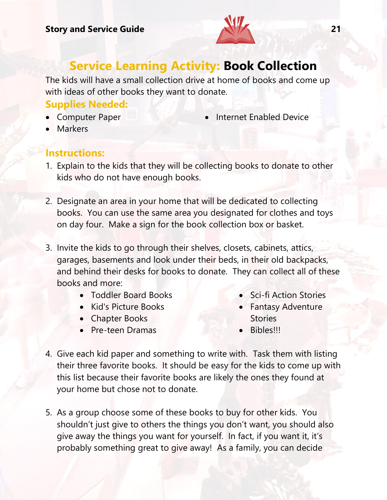

# **Service Learning Activity: Book Collection**

The kids will have a small collection drive at home of books and come up with ideas of other books they want to donate.

#### **Supplies Needed:**

**•** Computer Paper

• Internet Enabled Device

**Markers** 

#### **Instructions:**

- 1. Explain to the kids that they will be collecting books to donate to other kids who do not have enough books.
- 2. Designate an area in your home that will be dedicated to collecting books. You can use the same area you designated for clothes and toys on day four. Make a sign for the book collection box or basket.
- 3. Invite the kids to go through their shelves, closets, cabinets, attics, garages, basements and look under their beds, in their old backpacks, and behind their desks for books to donate. They can collect all of these books and more:
	- Toddler Board Books
	- Kid's Picture Books
	- Chapter Books
	- Pre-teen Dramas
- Sci-fi Action Stories
- Fantasy Adventure **Stories**
- Bibles!!!
- 4. Give each kid paper and something to write with. Task them with listing their three favorite books. It should be easy for the kids to come up with this list because their favorite books are likely the ones they found at your home but chose not to donate.
- 5. As a group choose some of these books to buy for other kids. You shouldn't just give to others the things you don't want, you should also give away the things you want for yourself. In fact, if you want it, it's probably something great to give away! As a family, you can decide